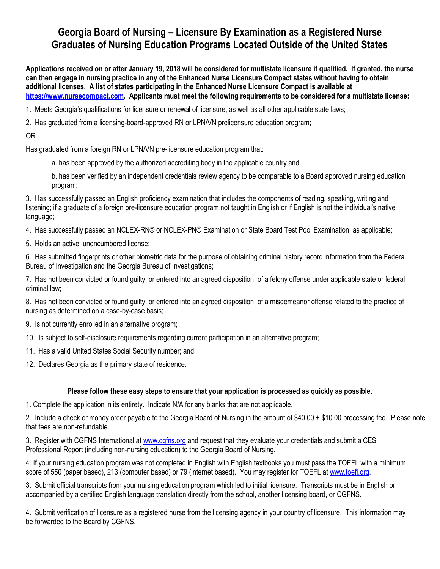# **Georgia Board of Nursing – Licensure By Examination as a Registered Nurse Graduates of Nursing Education Programs Located Outside of the United States**

**Applications received on or after January 19, 2018 will be considered for multistate licensure if qualified. If granted, the nurse can then engage in nursing practice in any of the Enhanced Nurse Licensure Compact states without having to obtain additional licenses. A list of states participating in the Enhanced Nurse Licensure Compact is available at [https://www.nursecompact.com.](https://www.nursecompact.com/) Applicants must meet the following requirements to be considered for a multistate license:**

1. Meets Georgia's qualifications for licensure or renewal of licensure, as well as all other applicable state laws;

2. Has graduated from a licensing-board-approved RN or LPN/VN prelicensure education program;

OR

Has graduated from a foreign RN or LPN/VN pre-licensure education program that:

a. has been approved by the authorized accrediting body in the applicable country and

b. has been verified by an independent credentials review agency to be comparable to a Board approved nursing education program;

3. Has successfully passed an English proficiency examination that includes the components of reading, speaking, writing and listening; if a graduate of a foreign pre-licensure education program not taught in English or if English is not the individual's native language;

4. Has successfully passed an NCLEX-RN© or NCLEX-PN© Examination or State Board Test Pool Examination, as applicable;

5. Holds an active, unencumbered license;

6. Has submitted fingerprints or other biometric data for the purpose of obtaining criminal history record information from the Federal Bureau of Investigation and the Georgia Bureau of Investigations;

7. Has not been convicted or found guilty, or entered into an agreed disposition, of a felony offense under applicable state or federal criminal law;

8. Has not been convicted or found guilty, or entered into an agreed disposition, of a misdemeanor offense related to the practice of nursing as determined on a case-by-case basis;

9. Is not currently enrolled in an alternative program;

10. Is subject to self-disclosure requirements regarding current participation in an alternative program;

11. Has a valid United States Social Security number; and

12. Declares Georgia as the primary state of residence.

# **Please follow these easy steps to ensure that your application is processed as quickly as possible.**

1. Complete the application in its entirety. Indicate N/A for any blanks that are not applicable.

2. Include a check or money order payable to the Georgia Board of Nursing in the amount of \$40.00 + \$10.00 processing fee. Please note that fees are non-refundable.

3. Register with CGFNS International at [www.cgfns.org](http://www.cgfns.org/) and request that they evaluate your credentials and submit a CES Professional Report (including non-nursing education) to the Georgia Board of Nursing.

4. If your nursing education program was not completed in English with English textbooks you must pass the TOEFL with a minimum score of 550 (paper based), 213 (computer based) or 79 (internet based). You may register for TOEFL at [www.toefl.org.](http://www.toefl.org/)

3. Submit official transcripts from your nursing education program which led to initial licensure. Transcripts must be in English or accompanied by a certified English language translation directly from the school, another licensing board, or CGFNS.

4. Submit verification of licensure as a registered nurse from the licensing agency in your country of licensure. This information may be forwarded to the Board by CGFNS.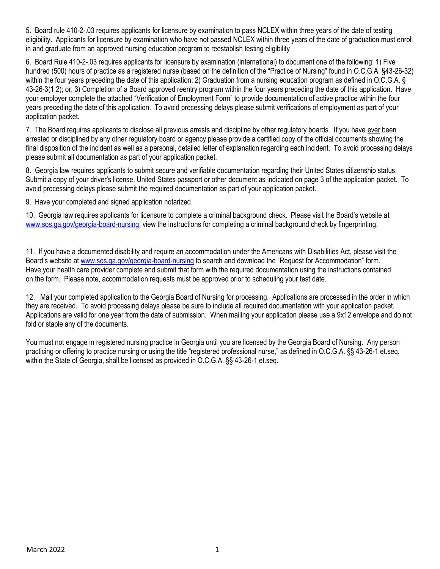5. Board rule 410-2-.03 requires applicants for licensure by examination to pass NCLEX within three years of the date of testing eligibility. Applicants for licensure by examination who have not passed NCLEX within three years of the date of graduation must enroll in and graduate from an approved nursing education program to reestablish testing eligibility

6. Board Rule 410-2-.03 requires applicants for licensure by examination (international) to document one of the following: 1) Five hundred (500) hours of practice as a registered nurse (based on the definition of the "Practice of Nursing" found in O.C.G.A. §43-26-32) within the four years preceding the date of this application; 2) Graduation from a nursing education program as defined in O.C.G.A. § 43-26-3(1.2); or, 3) Completion of a Board approved reentry program within the four years preceding the date of this application. Have your employer complete the attached "Verification of Employment Form" to provide documentation of active practice within the four years preceding the date of this application. To avoid processing delays please submit verifications of employment as part of your application packet.

7. The Board requires applicants to disclose all previous arrests and discipline by other regulatory boards. If you have ever been arrested or disciplined by any other regulatory board or agency please provide a certified copy of the official documents showing the final disposition of the incident as well as a personal, detailed letter of explanation regarding each incident. To avoid processing delays please submit all documentation as part of your application packet.

8. Georgia law requires applicants to submit secure and verifiable documentation regarding their United States citizenship status. Submit a copy of your driver's license, United States passport or other document as indicated on page 3 of the application packet. To avoid processing delays please submit the required documentation as part of your application packet.

9. Have your completed and signed application notarized.

10. Georgia law requires applicants for licensure to complete a criminal background check. Please visit the Board's website at [www.sos.ga.gov/georgia-boa](http://www.sos.ga.gov/plb/nursing)rd-nursing, view the instructions for completing a criminal background check by fingerprinting.

11. If you have a documented disability and require an accommodation under the Americans with Disabilities Act, please visit the Board's website at [www.sos.ga.gov/georgia-boa](http://www.sos.ga.gov/plb/nursing)rd-nursing to search and download the "Request for Accommodation" form. Have your health care provider complete and submit that form with the required documentation using the instructions contained on the form. Please note, accommodation requests must be approved prior to scheduling your test date.

12. Mail your completed application to the Georgia Board of Nursing for processing. Applications are processed in the order in which they are received. To avoid processing delays please be sure to include all required documentation with your application packet. Applications are valid for one year from the date of submission. When mailing your application please use a 9x12 envelope and do not fold or staple any of the documents.

You must not engage in registered nursing practice in Georgia until you are licensed by the Georgia Board of Nursing. Any person practicing or offering to practice nursing or using the title "registered professional nurse," as defined in O.C.G.A. §§ 43-26-1 et.seq. within the State of Georgia, shall be licensed as provided in O.C.G.A. §§ 43-26-1 et.seq.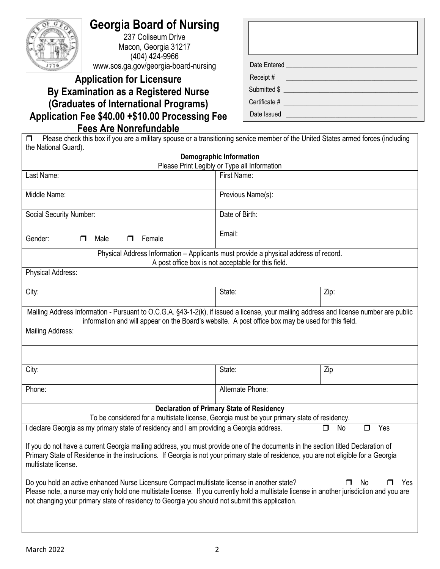

# **Georgia Board of Nursing**

237 Coliseum Drive Macon, Georgia 31217 (404) 424-9966 www.sos.ga.g[ov/georgia-board-nursing](http://www.sos.ga.gov/plb/nursing)

# **Application for Licensure By Examination as a Registered Nurse (Graduates of International Programs) Application Fee \$40.00 +\$10.00 Processing Fee Fees Are Nonrefundable**

| Date Entered <b>Example 2018</b> |
|----------------------------------|
| Receipt #                        |
| Submitted \$                     |
| Certificate #                    |
| Date Issued                      |

**Please check this box if you are a military spouse or a transitioning service member of the United States armed forces (including** the National Guard).

| <b>Demographic Information</b>                                                                                                                                                                                                                                                                                                                                |                                                     |                          |  |  |  |
|---------------------------------------------------------------------------------------------------------------------------------------------------------------------------------------------------------------------------------------------------------------------------------------------------------------------------------------------------------------|-----------------------------------------------------|--------------------------|--|--|--|
|                                                                                                                                                                                                                                                                                                                                                               | Please Print Legibly or Type all Information        |                          |  |  |  |
| Last Name:                                                                                                                                                                                                                                                                                                                                                    | First Name:                                         |                          |  |  |  |
| Middle Name:                                                                                                                                                                                                                                                                                                                                                  | Previous Name(s):                                   |                          |  |  |  |
| Social Security Number:                                                                                                                                                                                                                                                                                                                                       | Date of Birth:                                      |                          |  |  |  |
| Gender:<br>Female<br>Male<br>$\Box$<br>⊓                                                                                                                                                                                                                                                                                                                      | Email:                                              |                          |  |  |  |
| Physical Address Information - Applicants must provide a physical address of record.                                                                                                                                                                                                                                                                          | A post office box is not acceptable for this field. |                          |  |  |  |
| Physical Address:                                                                                                                                                                                                                                                                                                                                             |                                                     |                          |  |  |  |
| City:                                                                                                                                                                                                                                                                                                                                                         | State:                                              | Zip:                     |  |  |  |
| Mailing Address Information - Pursuant to O.C.G.A. §43-1-2(k), if issued a license, your mailing address and license number are public<br>information and will appear on the Board's website. A post office box may be used for this field.                                                                                                                   |                                                     |                          |  |  |  |
| Mailing Address:                                                                                                                                                                                                                                                                                                                                              |                                                     |                          |  |  |  |
|                                                                                                                                                                                                                                                                                                                                                               |                                                     |                          |  |  |  |
| City:                                                                                                                                                                                                                                                                                                                                                         | State:                                              | Zip                      |  |  |  |
| Phone:                                                                                                                                                                                                                                                                                                                                                        | Alternate Phone:                                    |                          |  |  |  |
|                                                                                                                                                                                                                                                                                                                                                               | <b>Declaration of Primary State of Residency</b>    |                          |  |  |  |
| To be considered for a multistate license, Georgia must be your primary state of residency.                                                                                                                                                                                                                                                                   |                                                     |                          |  |  |  |
| I declare Georgia as my primary state of residency and I am providing a Georgia address.                                                                                                                                                                                                                                                                      |                                                     | Yes<br>No<br>$\Box$<br>0 |  |  |  |
| If you do not have a current Georgia mailing address, you must provide one of the documents in the section titled Declaration of<br>Primary State of Residence in the instructions. If Georgia is not your primary state of residence, you are not eligible for a Georgia<br>multistate license.                                                              |                                                     |                          |  |  |  |
| Do you hold an active enhanced Nurse Licensure Compact multistate license in another state?<br>No<br>Yes<br>П<br>Please note, a nurse may only hold one multistate license. If you currently hold a multistate license in another jurisdiction and you are<br>not changing your primary state of residency to Georgia you should not submit this application. |                                                     |                          |  |  |  |
|                                                                                                                                                                                                                                                                                                                                                               |                                                     |                          |  |  |  |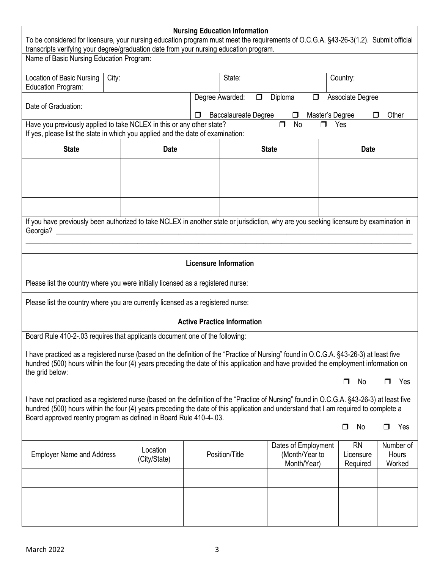| <b>Nursing Education Information</b><br>To be considered for licensure, your nursing education program must meet the requirements of O.C.G.A. §43-26-3(1.2). Submit official<br>transcripts verifying your degree/graduation date from your nursing education program.                                                                                   |                          |                              |                                       |                                                      |                                          |                              |
|----------------------------------------------------------------------------------------------------------------------------------------------------------------------------------------------------------------------------------------------------------------------------------------------------------------------------------------------------------|--------------------------|------------------------------|---------------------------------------|------------------------------------------------------|------------------------------------------|------------------------------|
| Name of Basic Nursing Education Program:                                                                                                                                                                                                                                                                                                                 |                          |                              |                                       |                                                      |                                          |                              |
| Location of Basic Nursing<br>State:<br>City:<br>Country:<br>Education Program:                                                                                                                                                                                                                                                                           |                          |                              |                                       |                                                      |                                          |                              |
| Date of Graduation:                                                                                                                                                                                                                                                                                                                                      |                          | Degree Awarded:<br>□         | $\Box$<br><b>Baccalaureate Degree</b> | Diploma<br>$\Box$<br>$\Box$                          | Associate Degree<br>Master's Degree<br>⊓ | Other                        |
| Have you previously applied to take NCLEX in this or any other state?<br>If yes, please list the state in which you applied and the date of examination:                                                                                                                                                                                                 |                          |                              |                                       | <b>No</b><br>$\Box$<br>$\Box$                        | Yes                                      |                              |
| <b>State</b>                                                                                                                                                                                                                                                                                                                                             | <b>Date</b>              |                              |                                       | <b>State</b>                                         | <b>Date</b>                              |                              |
|                                                                                                                                                                                                                                                                                                                                                          |                          |                              |                                       |                                                      |                                          |                              |
|                                                                                                                                                                                                                                                                                                                                                          |                          |                              |                                       |                                                      |                                          |                              |
|                                                                                                                                                                                                                                                                                                                                                          |                          |                              |                                       |                                                      |                                          |                              |
| If you have previously been authorized to take NCLEX in another state or jurisdiction, why are you seeking licensure by examination in                                                                                                                                                                                                                   |                          |                              |                                       |                                                      |                                          |                              |
|                                                                                                                                                                                                                                                                                                                                                          |                          | <b>Licensure Information</b> |                                       |                                                      |                                          |                              |
| Please list the country where you were initially licensed as a registered nurse:                                                                                                                                                                                                                                                                         |                          |                              |                                       |                                                      |                                          |                              |
| Please list the country where you are currently licensed as a registered nurse:                                                                                                                                                                                                                                                                          |                          |                              |                                       |                                                      |                                          |                              |
| <b>Active Practice Information</b>                                                                                                                                                                                                                                                                                                                       |                          |                              |                                       |                                                      |                                          |                              |
| Board Rule 410-2-.03 requires that applicants document one of the following:                                                                                                                                                                                                                                                                             |                          |                              |                                       |                                                      |                                          |                              |
| I have practiced as a registered nurse (based on the definition of the "Practice of Nursing" found in O.C.G.A. §43-26-3) at least five<br>hundred (500) hours within the four (4) years preceding the date of this application and have provided the employment information on<br>the grid below:                                                        |                          |                              |                                       |                                                      |                                          |                              |
|                                                                                                                                                                                                                                                                                                                                                          |                          |                              |                                       |                                                      | No<br>□                                  | Yes<br>$\Box$                |
| I have not practiced as a registered nurse (based on the definition of the "Practice of Nursing" found in O.C.G.A. §43-26-3) at least five<br>hundred (500) hours within the four (4) years preceding the date of this application and understand that I am required to complete a<br>Board approved reentry program as defined in Board Rule 410-4-.03. |                          |                              |                                       |                                                      |                                          |                              |
|                                                                                                                                                                                                                                                                                                                                                          |                          |                              |                                       |                                                      | No<br>$\Box$                             | Yes<br>□                     |
| <b>Employer Name and Address</b>                                                                                                                                                                                                                                                                                                                         | Location<br>(City/State) |                              | Position/Title                        | Dates of Employment<br>(Month/Year to<br>Month/Year) | <b>RN</b><br>Licensure<br>Required       | Number of<br>Hours<br>Worked |
|                                                                                                                                                                                                                                                                                                                                                          |                          |                              |                                       |                                                      |                                          |                              |
|                                                                                                                                                                                                                                                                                                                                                          |                          |                              |                                       |                                                      |                                          |                              |
|                                                                                                                                                                                                                                                                                                                                                          |                          |                              |                                       |                                                      |                                          |                              |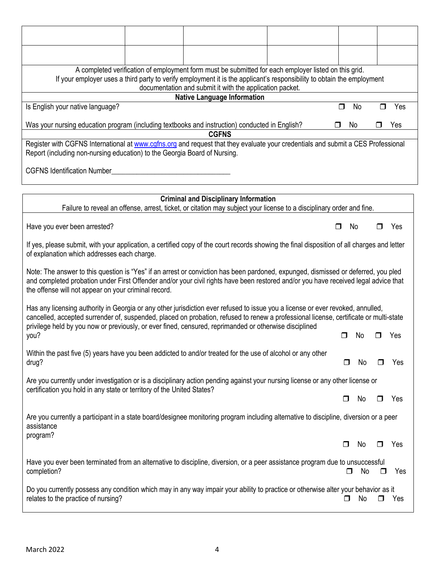| A completed verification of employment form must be submitted for each employer listed on this grid.<br>If your employer uses a third party to verify employment it is the applicant's responsibility to obtain the employment<br>documentation and submit it with the application packet.                                                                                         |  |                                                                                                                      |  |        |     |        |     |  |
|------------------------------------------------------------------------------------------------------------------------------------------------------------------------------------------------------------------------------------------------------------------------------------------------------------------------------------------------------------------------------------|--|----------------------------------------------------------------------------------------------------------------------|--|--------|-----|--------|-----|--|
|                                                                                                                                                                                                                                                                                                                                                                                    |  | <b>Native Language Information</b>                                                                                   |  |        |     |        |     |  |
| Is English your native language?                                                                                                                                                                                                                                                                                                                                                   |  |                                                                                                                      |  | $\Box$ | No  | ⊓      | Yes |  |
| Was your nursing education program (including textbooks and instruction) conducted in English?                                                                                                                                                                                                                                                                                     |  | <b>CGFNS</b>                                                                                                         |  |        | No  |        | Yes |  |
| Register with CGFNS International at www.cgfns.org and request that they evaluate your credentials and submit a CES Professional<br>Report (including non-nursing education) to the Georgia Board of Nursing.                                                                                                                                                                      |  |                                                                                                                      |  |        |     |        |     |  |
| <b>CGFNS Identification Number</b>                                                                                                                                                                                                                                                                                                                                                 |  |                                                                                                                      |  |        |     |        |     |  |
|                                                                                                                                                                                                                                                                                                                                                                                    |  | <b>Criminal and Disciplinary Information</b>                                                                         |  |        |     |        |     |  |
|                                                                                                                                                                                                                                                                                                                                                                                    |  | Failure to reveal an offense, arrest, ticket, or citation may subject your license to a disciplinary order and fine. |  |        |     |        |     |  |
| Have you ever been arrested?                                                                                                                                                                                                                                                                                                                                                       |  |                                                                                                                      |  |        | No. |        | Yes |  |
| If yes, please submit, with your application, a certified copy of the court records showing the final disposition of all charges and letter<br>of explanation which addresses each charge.                                                                                                                                                                                         |  |                                                                                                                      |  |        |     |        |     |  |
| Note: The answer to this question is "Yes" if an arrest or conviction has been pardoned, expunged, dismissed or deferred, you pled<br>and completed probation under First Offender and/or your civil rights have been restored and/or you have received legal advice that<br>the offense will not appear on your criminal record.                                                  |  |                                                                                                                      |  |        |     |        |     |  |
| Has any licensing authority in Georgia or any other jurisdiction ever refused to issue you a license or ever revoked, annulled,<br>cancelled, accepted surrender of, suspended, placed on probation, refused to renew a professional license, certificate or multi-state<br>privilege held by you now or previously, or ever fined, censured, reprimanded or otherwise disciplined |  |                                                                                                                      |  |        |     |        |     |  |
| you?                                                                                                                                                                                                                                                                                                                                                                               |  |                                                                                                                      |  |        | N٥  |        | Yes |  |
| Within the past five (5) years have you been addicted to and/or treated for the use of alcohol or any other<br>drug?                                                                                                                                                                                                                                                               |  |                                                                                                                      |  | ◻      | No  |        | Yes |  |
| Are you currently under investigation or is a disciplinary action pending against your nursing license or any other license or<br>certification you hold in any state or territory of the United States?                                                                                                                                                                           |  |                                                                                                                      |  |        |     |        |     |  |
|                                                                                                                                                                                                                                                                                                                                                                                    |  |                                                                                                                      |  | П      | No  |        | Yes |  |
| Are you currently a participant in a state board/designee monitoring program including alternative to discipline, diversion or a peer<br>assistance<br>program?                                                                                                                                                                                                                    |  |                                                                                                                      |  |        |     |        |     |  |
|                                                                                                                                                                                                                                                                                                                                                                                    |  |                                                                                                                      |  | □      | No  | П      | Yes |  |
| Have you ever been terminated from an alternative to discipline, diversion, or a peer assistance program due to unsuccessful<br>completion?                                                                                                                                                                                                                                        |  |                                                                                                                      |  | □      | No  | $\Box$ | Yes |  |
| Do you currently possess any condition which may in any way impair your ability to practice or otherwise alter your behavior as it<br>relates to the practice of nursing?                                                                                                                                                                                                          |  |                                                                                                                      |  |        | No  | □      | Yes |  |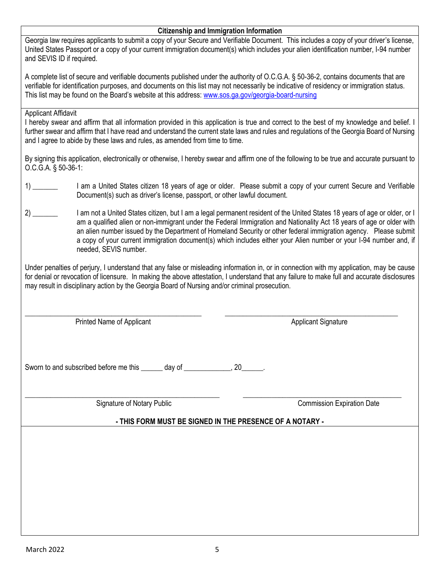#### **Citizenship and Immigration Information**

Georgia law requires applicants to submit a copy of your Secure and Verifiable Document. This includes a copy of your driver's license, United States Passport or a copy of your current immigration document(s) which includes your alien identification number, I-94 number and SEVIS ID if required.

A complete list of secure and verifiable documents published under the authority of O.C.G.A. § 50-36-2, contains documents that are verifiable for identification purposes, and documents on this list may not necessarily be indicative of residency or immigration status. This list may be found on the Board's website at this address: [www.sos.ga.gov/georgia-board-nursing](http://sos.ga.gov/admin/files/svd2013.pdf)

### Applicant Affidavit

I hereby swear and affirm that all information provided in this application is true and correct to the best of my knowledge and belief. I further swear and affirm that I have read and understand the current state laws and rules and regulations of the Georgia Board of Nursing and I agree to abide by these laws and rules, as amended from time to time.

By signing this application, electronically or otherwise, I hereby swear and affirm one of the following to be true and accurate pursuant to O.C.G.A. § 50-36-1:

- 1) \_\_\_\_\_\_ I am a United States citizen 18 years of age or older. Please submit a copy of your current Secure and Verifiable Document(s) such as driver's license, passport, or other lawful document.
- 2) \_\_\_\_\_\_\_ I am not a United States citizen, but I am a legal permanent resident of the United States 18 years of age or older, or I am a qualified alien or non-immigrant under the Federal Immigration and Nationality Act 18 years of age or older with an alien number issued by the Department of Homeland Security or other federal immigration agency. Please submit a copy of your current immigration document(s) which includes either your Alien number or your I-94 number and, if needed, SEVIS number.

Under penalties of perjury, I understand that any false or misleading information in, or in connection with my application, may be cause for denial or revocation of licensure. In making the above attestation, I understand that any failure to make full and accurate disclosures may result in disciplinary action by the Georgia Board of Nursing and/or criminal prosecution.

 $\_$  , and the set of the set of the set of the set of the set of the set of the set of the set of the set of the set of the set of the set of the set of the set of the set of the set of the set of the set of the set of th Printed Name of Applicant Applicant Applicant Signature Applicant Signature

Sworn to and subscribed before me this \_\_\_\_\_\_ day of \_\_\_\_\_\_\_\_\_\_\_\_, 20\_\_\_\_\_.

 $\_$  , and the set of the set of the set of the set of the set of the set of the set of the set of the set of the set of the set of the set of the set of the set of the set of the set of the set of the set of the set of th Signature of Notary Public Commission Expiration Date

**- THIS FORM MUST BE SIGNED IN THE PRESENCE OF A NOTARY -**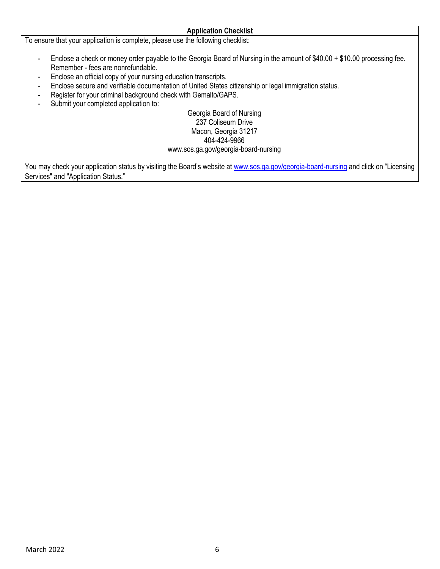To ensure that your application is complete, please use the following checklist:

- Enclose a check or money order payable to the Georgia Board of Nursing in the amount of \$40.00 + \$10.00 processing fee. Remember - fees are nonrefundable.

**Application Checklist**

- Enclose an official copy of your nursing education transcripts.
- Enclose secure and verifiable documentation of United States citizenship or legal immigration status.
- Register for your criminal background check with Gemalto/GAPS.
- Submit your completed application to:

Georgia Board of Nursing 237 Coliseum Drive Macon, Georgia 31217 404-424-9966 ww[w.sos.ga.gov/georgia-board-n](http://www.sos.ga.gov/plb/nursing)ursing

You may check your application status by visiting the Board's website at [www.sos.ga.gov/georgia-boa](http://www.sos.ga.gov/plb/nursing)rd-nursing and click on "Licensing Services" and "Application Status."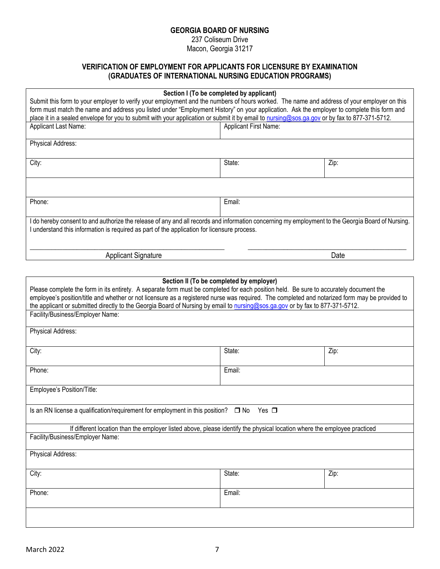#### **GEORGIA BOARD OF NURSING**

237 Coliseum Drive Macon, Georgia 31217

# **VERIFICATION OF EMPLOYMENT FOR APPLICANTS FOR LICENSURE BY EXAMINATION (GRADUATES OF INTERNATIONAL NURSING EDUCATION PROGRAMS)**

| Section I (To be completed by applicant)<br>Submit this form to your employer to verify your employment and the numbers of hours worked. The name and address of your employer on this<br>form must match the name and address you listed under "Employment History" on your application. Ask the employer to complete this form and<br>place it in a sealed envelope for you to submit with your application or submit it by email to nursing@sos.ga.gov or by fax to 877-371-5712.                                           |                              |      |  |  |  |  |
|--------------------------------------------------------------------------------------------------------------------------------------------------------------------------------------------------------------------------------------------------------------------------------------------------------------------------------------------------------------------------------------------------------------------------------------------------------------------------------------------------------------------------------|------------------------------|------|--|--|--|--|
| Applicant Last Name:                                                                                                                                                                                                                                                                                                                                                                                                                                                                                                           | <b>Applicant First Name:</b> |      |  |  |  |  |
| Physical Address:                                                                                                                                                                                                                                                                                                                                                                                                                                                                                                              |                              |      |  |  |  |  |
| City:                                                                                                                                                                                                                                                                                                                                                                                                                                                                                                                          | State:                       | Zip: |  |  |  |  |
|                                                                                                                                                                                                                                                                                                                                                                                                                                                                                                                                |                              |      |  |  |  |  |
| Phone:                                                                                                                                                                                                                                                                                                                                                                                                                                                                                                                         | Email:                       |      |  |  |  |  |
| I do hereby consent to and authorize the release of any and all records and information concerning my employment to the Georgia Board of Nursing.<br>I understand this information is required as part of the application for licensure process.<br><b>Applicant Signature</b><br>Date                                                                                                                                                                                                                                         |                              |      |  |  |  |  |
|                                                                                                                                                                                                                                                                                                                                                                                                                                                                                                                                |                              |      |  |  |  |  |
| Section II (To be completed by employer)<br>Please complete the form in its entirety. A separate form must be completed for each position held. Be sure to accurately document the<br>employee's position/title and whether or not licensure as a registered nurse was required. The completed and notarized form may be provided to<br>the applicant or submitted directly to the Georgia Board of Nursing by email to nursing@sos.ga.gov or by fax to 877-371-5712.<br>Facility/Business/Employer Name:<br>Physical Address: |                              |      |  |  |  |  |
| City:                                                                                                                                                                                                                                                                                                                                                                                                                                                                                                                          | State:                       | Zip: |  |  |  |  |
| Phone:                                                                                                                                                                                                                                                                                                                                                                                                                                                                                                                         | Email:                       |      |  |  |  |  |
| Employee's Position/Title:                                                                                                                                                                                                                                                                                                                                                                                                                                                                                                     |                              |      |  |  |  |  |

Is an RN license a qualification/requirement for employment in this position? □ No Yes □

| If different location than the employer listed above, please identify the physical location where the employee practiced |  |  |  |
|--------------------------------------------------------------------------------------------------------------------------|--|--|--|
| Facility/Business/Employer Name:                                                                                         |  |  |  |

| City:  | State: | Zip: |
|--------|--------|------|
| Phone: | Email: |      |
|        |        |      |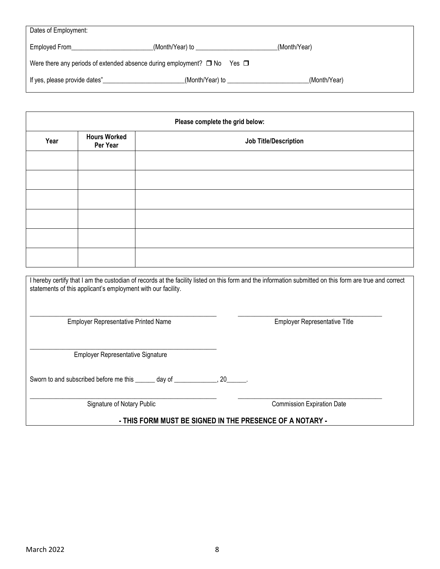| Dates of Employment:                                                                  |                  |              |  |  |  |
|---------------------------------------------------------------------------------------|------------------|--------------|--|--|--|
| Employed From                                                                         | (Month/Year) to  | (Month/Year) |  |  |  |
| Were there any periods of extended absence during employment? $\Box$ No<br>Yes $\Box$ |                  |              |  |  |  |
| If yes, please provide dates"                                                         | _(Month/Year) to | (Month/Year) |  |  |  |

|      | Please complete the grid below: |                              |  |
|------|---------------------------------|------------------------------|--|
| Year | <b>Hours Worked</b><br>Per Year | <b>Job Title/Description</b> |  |
|      |                                 |                              |  |
|      |                                 |                              |  |
|      |                                 |                              |  |
|      |                                 |                              |  |
|      |                                 |                              |  |
|      |                                 |                              |  |

I hereby certify that I am the custodian of records at the facility listed on this form and the information submitted on this form are true and correct statements of this applicant's employment with our facility.

\_\_\_\_\_\_\_\_\_\_\_\_\_\_\_\_\_\_\_\_\_\_\_\_\_\_\_\_\_\_\_\_\_\_\_\_\_\_\_\_\_\_\_\_\_\_\_\_\_\_\_\_\_\_\_\_\_ \_\_\_\_\_\_\_\_\_\_\_\_\_\_\_\_\_\_\_\_\_\_\_\_\_\_\_\_\_\_\_\_\_\_\_\_\_\_\_\_\_\_\_\_ Employer Representative Printed Name **Employer Representative Title** 

\_\_\_\_\_\_\_\_\_\_\_\_\_\_\_\_\_\_\_\_\_\_\_\_\_\_\_\_\_\_\_\_\_\_\_\_\_\_\_\_\_\_\_\_\_\_\_\_\_\_\_\_\_\_\_\_\_ Employer Representative Signature

Sworn to and subscribed before me this \_\_\_\_\_\_ day of \_\_\_\_\_\_\_\_\_\_\_\_, 20\_\_\_\_

\_\_\_\_\_\_\_\_\_\_\_\_\_\_\_\_\_\_\_\_\_\_\_\_\_\_\_\_\_\_\_\_\_\_\_\_\_\_\_\_\_\_\_\_\_\_\_\_\_\_\_\_\_\_\_\_\_ \_\_\_\_\_\_\_\_\_\_\_\_\_\_\_\_\_\_\_\_\_\_\_\_\_\_\_\_\_\_\_\_\_\_\_\_\_\_\_\_\_\_\_\_ Signature of Notary Public Commission Expiration Date

**- THIS FORM MUST BE SIGNED IN THE PRESENCE OF A NOTARY -**